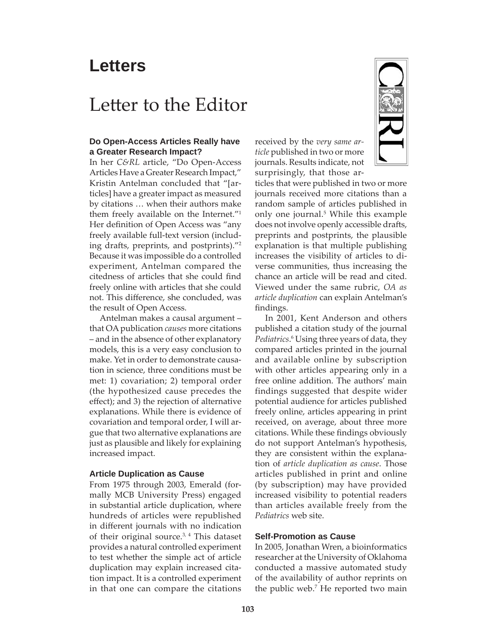# **Letters**

# Letter to the Editor

## **Do Open-Access Articles Really have a Greater Research Impact?**

In her *C&RL* article, "Do Open-Access Articles Have a Greater Research Impact," Kristin Antelman concluded that "[articles] have a greater impact as measured by citations … when their authors make them freely available on the Internet."1 Her definition of Open Access was "any freely available full-text version (including drafts, preprints, and postprints)."2 Because it was impossible do a controlled experiment, Antelman compared the citedness of articles that she could find freely online with articles that she could not. This difference, she concluded, was the result of Open Access.

Antelman makes a causal argument – that OA publication *causes* more citations – and in the absence of other explanatory models, this is a very easy conclusion to make. Yet in order to demonstrate causation in science, three conditions must be met: 1) covariation; 2) temporal order (the hypothesized cause precedes the effect); and 3) the rejection of alternative explanations. While there is evidence of covariation and temporal order, I will argue that two alternative explanations are just as plausible and likely for explaining increased impact.

#### **Article Duplication as Cause**

From 1975 through 2003, Emerald (formally MCB University Press) engaged in substantial article duplication, where hundreds of articles were republished in different journals with no indication of their original source. $3, 4$  This dataset provides a natural controlled experiment to test whether the simple act of article duplication may explain increased citation impact. It is a controlled experiment in that one can compare the citations



received by the *very same article* published in two or more journals. Results indicate, not surprisingly, that those ar-

ticles that were published in two or more journals received more citations than a random sample of articles published in only one journal.5 While this example does not involve openly accessible drafts, preprints and postprints, the plausible explanation is that multiple publishing increases the visibility of articles to diverse communities, thus increasing the chance an article will be read and cited. Viewed under the same rubric, *OA as article duplication* can explain Antelman's findings.

In 2001, Kent Anderson and others published a citation study of the journal P*ediatrics*.<sup>6</sup> Using three years of data, they compared articles printed in the journal and available online by subscription with other articles appearing only in a free online addition. The authors' main findings suggested that despite wider potential audience for articles published freely online, articles appearing in print received, on average, about three more citations. While these findings obviously do not support Antelman's hypothesis, they are consistent within the explanation of *article duplication as cause*. Those articles published in print and online (by subscription) may have provided increased visibility to potential readers than articles available freely from the *Pediatrics* web site.

#### **Self-Promotion as Cause**

In 2005, Jonathan Wren, a bioinformatics researcher at the University of Oklahoma conducted a massive automated study of the availability of author reprints on the public web.7 He reported two main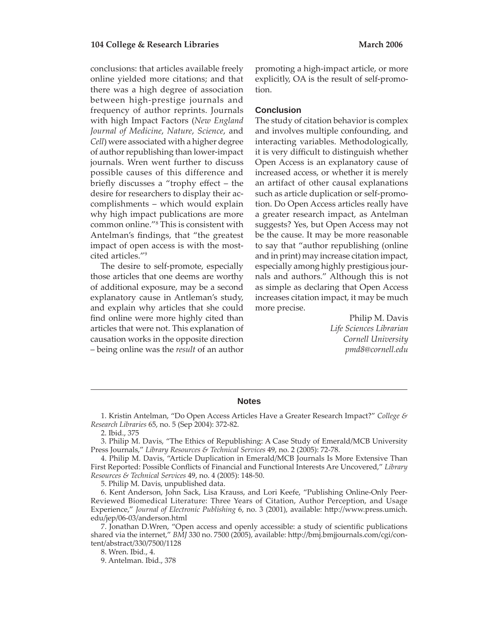#### **104 College & Research Libraries 104 College & Research Libraries** March 2006

conclusions: that articles available freely online yielded more citations; and that there was a high degree of association between high-prestige journals and frequency of author reprints. Journals with high Impact Factors (*New England Journal of Medicine*, *Nature*, *Science*, and *Cell*) were associated with a higher degree of author republishing than lower-impact journals. Wren went further to discuss possible causes of this difference and briefly discusses a "trophy effect – the desire for researchers to display their accomplishments – which would explain why high impact publications are more common online."8 This is consistent with Antelman's findings, that "the greatest impact of open access is with the mostcited articles."9

The desire to self-promote, especially those articles that one deems are worthy of additional exposure, may be a second explanatory cause in Antleman's study, and explain why articles that she could find online were more highly cited than articles that were not. This explanation of causation works in the opposite direction – being online was the *result* of an author

promoting a high-impact article, or more explicitly, OA is the result of self-promotion.

### **Conclusion**

The study of citation behavior is complex and involves multiple confounding, and interacting variables. Methodologically, it is very difficult to distinguish whether Open Access is an explanatory cause of increased access, or whether it is merely an artifact of other causal explanations such as article duplication or self-promotion. Do Open Access articles really have a greater research impact, as Antelman suggests? Yes, but Open Access may not be the cause. It may be more reasonable to say that "author republishing (online and in print) may increase citation impact, especially among highly prestigious journals and authors." Although this is not as simple as declaring that Open Access increases citation impact, it may be much more precise.

> Philip M. Davis *Life Sciences Librarian Cornell University pmd8@cornell.edu*

#### **Notes**

1. Kristin Antelman, "Do Open Access Articles Have a Greater Research Impact?" *College & Research Libraries* 65, no. 5 (Sep 2004): 372-82.

2. Ibid., 375

3. Philip M. Davis, "The Ethics of Republishing: A Case Study of Emerald/MCB University Press Journals," *Library Resources & Technical Services* 49, no. 2 (2005): 72-78.

4. Philip M. Davis, "Article Duplication in Emerald/MCB Journals Is More Extensive Than First Reported: Possible Conflicts of Financial and Functional Interests Are Uncovered," *Library Resources & Technical Services* 49, no. 4 (2005): 148-50.

5. Philip M. Davis, unpublished data.

6. Kent Anderson, John Sack, Lisa Krauss, and Lori Keefe, "Publishing Online-Only Peer-Reviewed Biomedical Literature: Three Years of Citation, Author Perception, and Usage Experience," *Journal of Electronic Publishing* 6, no. 3 (2001), available: http://www.press.umich. edu/jep/06-03/anderson.html

7. Jonathan D.Wren, "Open access and openly accessible: a study of scientific publications shared via the internet," *BMJ* 330 no. 7500 (2005), available: http://bmj.bmjjournals.com/cgi/content/abstract/330/7500/1128

8. Wren. Ibid., 4.

9. Antelman. Ibid., 378